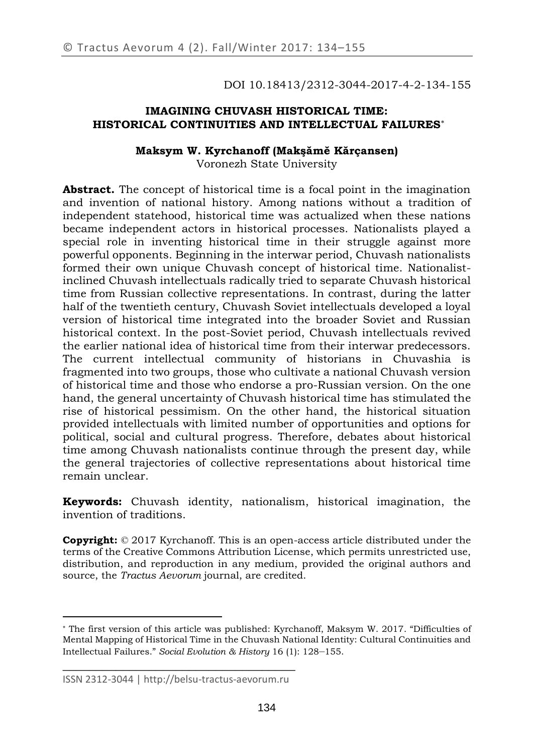DOI 10.18413/2312-3044-2017-4-2-134-155

# **IMAGINING CHUVASH HISTORICAL TIME: HISTORICAL CONTINUITIES AND INTELLECTUAL FAILURES**

## **Maksym W. Kyrchanoff (Makşămĕ Kărçansen)** Voronezh State University

**Abstract.** The concept of historical time is a focal point in the imagination and invention of national history. Among nations without a tradition of independent statehood, historical time was actualized when these nations became independent actors in historical processes. Nationalists played a special role in inventing historical time in their struggle against more powerful opponents. Beginning in the interwar period, Chuvash nationalists formed their own unique Chuvash concept of historical time. Nationalistinclined Chuvash intellectuals radically tried to separate Chuvash historical time from Russian collective representations. In contrast, during the latter half of the twentieth century, Chuvash Soviet intellectuals developed a loyal version of historical time integrated into the broader Soviet and Russian historical context. In the post-Soviet period, Chuvash intellectuals revived the earlier national idea of historical time from their interwar predecessors. The current intellectual community of historians in Chuvashia is fragmented into two groups, those who cultivate a national Chuvash version of historical time and those who endorse a pro-Russian version. On the one hand, the general uncertainty of Chuvash historical time has stimulated the rise of historical pessimism. On the other hand, the historical situation provided intellectuals with limited number of opportunities and options for political, social and cultural progress. Therefore, debates about historical time among Chuvash nationalists continue through the present day, while the general trajectories of collective representations about historical time remain unclear.

**Keywords:** Chuvash identity, nationalism, historical imagination, the invention of traditions.

**Copyright:** © 2017 Kyrchanoff. This is an open-access article distributed under the terms of the [Creative Commons Attribution License,](https://creativecommons.org/licenses/by/4.0/) which permits unrestricted use, distribution, and reproduction in any medium, provided the original authors and source, the *Tractus Aevorum* journal, are credited.

 $\overline{a}$ 

The first version of this article was published: Kyrchanoff, Maksym W. 2017. "Difficulties of Mental Mapping of Historical Time in the Chuvash National Identity: Cultural Continuities and Intellectual Failures." *Social Evolution & History* 16 (1): 128–155.

\_\_\_\_\_\_\_\_\_\_\_\_\_\_\_\_\_\_\_\_\_\_\_\_\_\_\_\_\_\_\_\_\_\_\_ ISSN 2312-3044 | http://belsu-tractus-aevorum.ru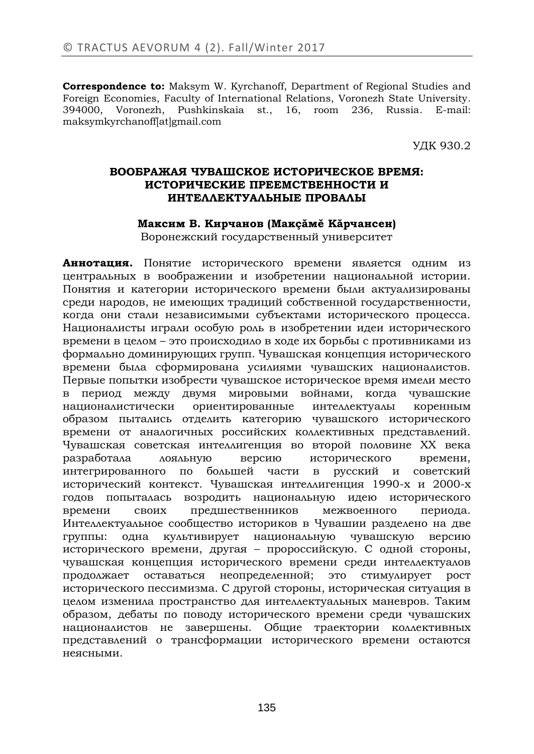**Correspondence to:** Maksym W. Kyrchanoff, Department of Regional Studies and Foreign Economies, Faculty of International Relations, Voronezh State University. 394000, Voronezh, Pushkinskaia st., 16, room 236, Russia. E-mail: maksymkyrchanoff[at]gmail.com

УДК 930.2

# **ВООБРАЖАЯ ЧУВАШСКОЕ ИСТОРИЧЕСКОЕ ВРЕМЯ: ИСТОРИЧЕСКИЕ ПРЕЕМСТВЕННОСТИ И ИНТЕЛЛЕКТУАЛЬНЫЕ ПРОВАЛЫ**

#### **Максим В. Кирчанов (Макçăмĕ Kăрчансен)**

Воронежский государственный университет

**Аннотация.** Понятие исторического времени является одним из центральных в воображении и изобретении национальной истории. Понятия и категории исторического времени были актуализированы среди народов, не имеющих традиций собственной государственности, когда они стали независимыми субъектами исторического процесса. Националисты играли особую роль в изобретении идеи исторического времени в целом – это происходило в ходе их борьбы с противниками из формально доминирующих групп. Чувашская концепция исторического времени была сформирована усилиями чувашских националистов. Первые попытки изобрести чувашское историческое время имели место в период между двумя мировыми войнами, когда чувашские националистически ориентированные интеллектуалы коренным образом пытались отделить категорию чувашского исторического времени от аналогичных российских коллективных представлений. Чувашская советская интеллигенция во второй половине ХХ века разработала лояльную версию исторического времени, интегрированного по большей части в русский и советский исторический контекст. Чувашская интеллигенция 1990-х и 2000-х годов попыталась возродить национальную идею исторического времени своих предшественников межвоенного периода. Интеллектуальное сообщество историков в Чувашии разделено на две группы: одна культивирует национальную чувашскую версию исторического времени, другая – пророссийскую. С одной стороны, чувашская концепция исторического времени среди интеллектуалов продолжает оставаться неопределенной; это стимулирует рост исторического пессимизма. С другой стороны, историческая ситуация в целом изменила пространство для интеллектуальных маневров. Таким образом, дебаты по поводу исторического времени среди чувашских националистов не завершены. Общие траектории коллективных представлений о трансформации исторического времени остаются неясными.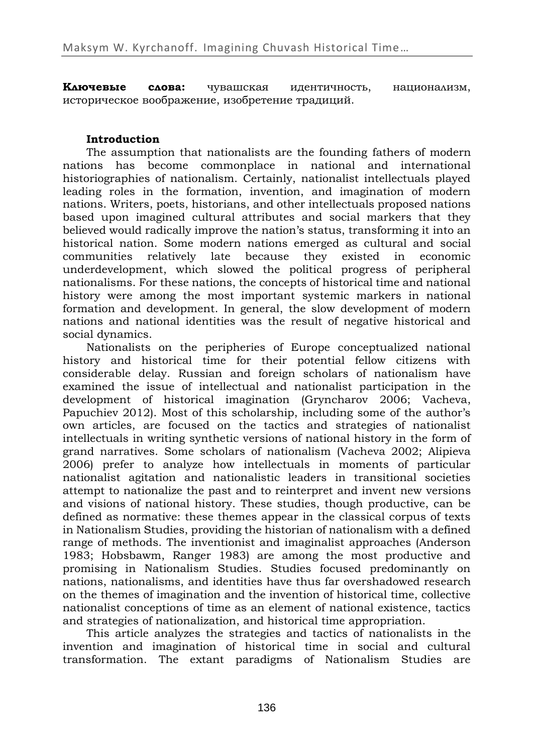**Ключевые слова:** чувашская идентичность, национализм, историческое воображение, изобретение традиций.

# **Introduction**

The assumption that nationalists are the founding fathers of modern nations has become commonplace in national and international historiographies of nationalism. Certainly, nationalist intellectuals played leading roles in the formation, invention, and imagination of modern nations. Writers, poets, historians, and other intellectuals proposed nations based upon imagined cultural attributes and social markers that they believed would radically improve the nation's status, transforming it into an historical nation. Some modern nations emerged as cultural and social communities relatively late because they existed in economic underdevelopment, which slowed the political progress of peripheral nationalisms. For these nations, the concepts of historical time and national history were among the most important systemic markers in national formation and development. In general, the slow development of modern nations and national identities was the result of negative historical and social dynamics.

Nationalists on the peripheries of Europe conceptualized national history and historical time for their potential fellow citizens with considerable delay. Russian and foreign scholars of nationalism have examined the issue of intellectual and nationalist participation in the development of historical imagination (Gryncharov 2006; Vacheva, Papuchiev 2012). Most of this scholarship, including some of the author's own articles, are focused on the tactics and strategies of nationalist intellectuals in writing synthetic versions of national history in the form of grand narratives. Some scholars of nationalism (Vacheva 2002; Alipieva 2006) prefer to analyze how intellectuals in moments of particular nationalist agitation and nationalistic leaders in transitional societies attempt to nationalize the past and to reinterpret and invent new versions and visions of national history. These studies, though productive, can be defined as normative: these themes appear in the classical corpus of texts in Nationalism Studies, providing the historian of nationalism with a defined range of methods. The inventionist and imaginalist approaches (Anderson 1983; Hobsbawm, Ranger 1983) are among the most productive and promising in Nationalism Studies. Studies focused predominantly on nations, nationalisms, and identities have thus far overshadowed research on the themes of imagination and the invention of historical time, collective nationalist conceptions of time as an element of national existence, tactics and strategies of nationalization, and historical time appropriation.

This article analyzes the strategies and tactics of nationalists in the invention and imagination of historical time in social and cultural transformation. The extant paradigms of Nationalism Studies are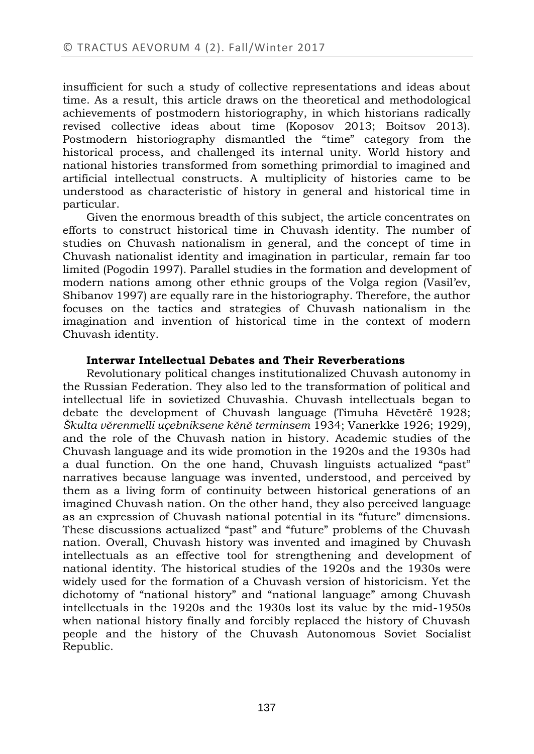insufficient for such a study of collective representations and ideas about time. As a result, this article draws on the theoretical and methodological achievements of postmodern historiography, in which historians radically revised collective ideas about time (Koposov 2013; Boitsov 2013). Postmodern historiography dismantled the "time" category from the historical process, and challenged its internal unity. World history and national histories transformed from something primordial to imagined and artificial intellectual constructs. A multiplicity of histories came to be understood as characteristic of history in general and historical time in particular.

Given the enormous breadth of this subject, the article concentrates on efforts to construct historical time in Chuvash identity. The number of studies on Chuvash nationalism in general, and the concept of time in Chuvash nationalist identity and imagination in particular, remain far too limited (Pogodin 1997). Parallel studies in the formation and development of modern nations among other ethnic groups of the Volga region (Vasil'ev, Shibanov 1997) are equally rare in the historiography. Therefore, the author focuses on the tactics and strategies of Chuvash nationalism in the imagination and invention of historical time in the context of modern Chuvash identity.

## **Interwar Intellectual Debates and Their Reverberations**

Revolutionary political changes institutionalized Chuvash autonomy in the Russian Federation. They also led to the transformation of political and intellectual life in sovietized Chuvashia. Chuvash intellectuals began to debate the development of Chuvash language (Timuha Hĕvetĕrĕ 1928; *Škulta vĕrenmelli uçebniksene kĕnĕ terminsem* 1934; Vanerkke 1926; 1929), and the role of the Chuvash nation in history. Academic studies of the Chuvash language and its wide promotion in the 1920s and the 1930s had a dual function. On the one hand, Chuvash linguists actualized "past" narratives because language was invented, understood, and perceived by them as a living form of continuity between historical generations of an imagined Chuvash nation. On the other hand, they also perceived language as an expression of Chuvash national potential in its "future" dimensions. These discussions actualized "past" and "future" problems of the Chuvash nation. Overall, Chuvash history was invented and imagined by Chuvash intellectuals as an effective tool for strengthening and development of national identity. The historical studies of the 1920s and the 1930s were widely used for the formation of a Chuvash version of historicism. Yet the dichotomy of "national history" and "national language" among Chuvash intellectuals in the 1920s and the 1930s lost its value by the mid-1950s when national history finally and forcibly replaced the history of Chuvash people and the history of the Chuvash Autonomous Soviet Socialist Republic.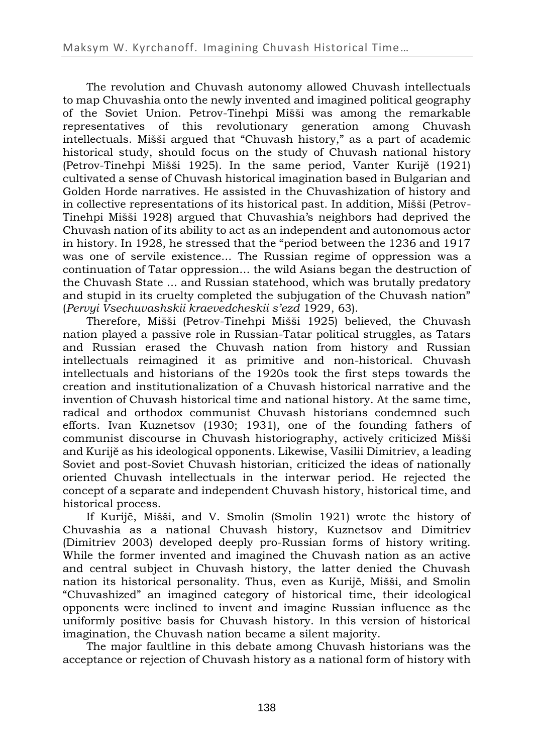The revolution and Chuvash autonomy allowed Chuvash intellectuals to map Chuvashia onto the newly invented and imagined political geography of the Soviet Union. Petrov-Tinehpi Mišši was among the remarkable representatives of this revolutionary generation among Chuvash intellectuals. Mišši argued that "Chuvash history," as a part of academic historical study, should focus on the study of Chuvash national history (Petrov-Tinehpi Mišši 1925). In the same period, Vanter Kurijĕ (1921) cultivated a sense of Chuvash historical imagination based in Bulgarian and Golden Horde narratives. He assisted in the Chuvashization of history and in collective representations of its historical past. In addition, Mišši (Petrov-Tinehpi Mišši 1928) argued that Chuvashia's neighbors had deprived the Chuvash nation of its ability to act as an independent and autonomous actor in history. In 1928, he stressed that the "period between the 1236 and 1917 was one of servile existence... The Russian regime of oppression was a continuation of Tatar oppression... the wild Asians began the destruction of the Chuvash State ... and Russian statehood, which was brutally predatory and stupid in its cruelty completed the subjugation of the Chuvash nation" (*Pervyi Vsechuvashskii kraevedcheskii s'ezd* 1929, 63).

Therefore, Mišši (Petrov-Tinehpi Mišši 1925) believed, the Chuvash nation played a passive role in Russian-Tatar political struggles, as Tatars and Russian erased the Chuvash nation from history and Russian intellectuals reimagined it as primitive and non-historical. Chuvash intellectuals and historians of the 1920s took the first steps towards the creation and institutionalization of a Chuvash historical narrative and the invention of Chuvash historical time and national history. At the same time, radical and orthodox communist Chuvash historians condemned such efforts. Ivan Kuznetsov (1930; 1931), one of the founding fathers of communist discourse in Chuvash historiography, actively criticized Mišši and Kurijĕ as his ideological opponents. Likewise, Vasilii Dimitriev, a leading Soviet and post-Soviet Chuvash historian, criticized the ideas of nationally oriented Chuvash intellectuals in the interwar period. He rejected the concept of a separate and independent Chuvash history, historical time, and historical process.

If Kurijĕ, Mišši, and V. Smolin (Smolin 1921) wrote the history of Chuvashia as a national Chuvash history, Kuznetsov and Dimitriev (Dimitriev 2003) developed deeply pro-Russian forms of history writing. While the former invented and imagined the Chuvash nation as an active and central subject in Chuvash history, the latter denied the Chuvash nation its historical personality. Thus, even as Kurijĕ, Mišši, and Smolin "Chuvashized" an imagined category of historical time, their ideological opponents were inclined to invent and imagine Russian influence as the uniformly positive basis for Chuvash history. In this version of historical imagination, the Chuvash nation became a silent majority.

The major faultline in this debate among Chuvash historians was the acceptance or rejection of Chuvash history as a national form of history with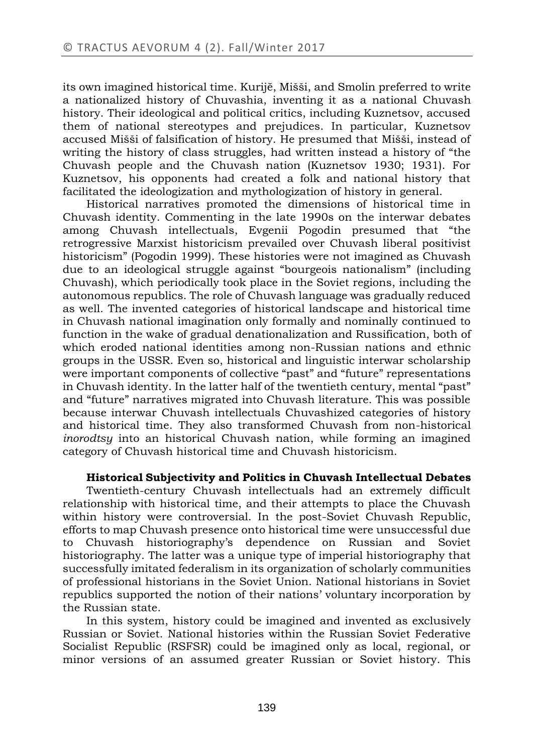its own imagined historical time. Kurijĕ, Mišši, and Smolin preferred to write a nationalized history of Chuvashia, inventing it as a national Chuvash history. Their ideological and political critics, including Kuznetsov, accused them of national stereotypes and prejudices. In particular, Kuznetsov accused Mišši of falsification of history. He presumed that Mišši, instead of writing the history of class struggles, had written instead a history of "the Chuvash people and the Chuvash nation (Kuznetsov 1930; 1931). For Kuznetsov, his opponents had created a folk and national history that facilitated the ideologization and mythologization of history in general.

Historical narratives promoted the dimensions of historical time in Chuvash identity. Commenting in the late 1990s on the interwar debates among Chuvash intellectuals, Evgenii Pogodin presumed that "the retrogressive Marxist historicism prevailed over Chuvash liberal positivist historicism" (Pogodin 1999). These histories were not imagined as Chuvash due to an ideological struggle against "bourgeois nationalism" (including Chuvash), which periodically took place in the Soviet regions, including the autonomous republics. The role of Chuvash language was gradually reduced as well. The invented categories of historical landscape and historical time in Chuvash national imagination only formally and nominally continued to function in the wake of gradual denationalization and Russification, both of which eroded national identities among non-Russian nations and ethnic groups in the USSR. Even so, historical and linguistic interwar scholarship were important components of collective "past" and "future" representations in Chuvash identity. In the latter half of the twentieth century, mental "past" and "future" narratives migrated into Chuvash literature. This was possible because interwar Chuvash intellectuals Chuvashized categories of history and historical time. They also transformed Chuvash from non-historical *inorodtsy* into an historical Chuvash nation, while forming an imagined category of Chuvash historical time and Chuvash historicism.

#### **Historical Subjectivity and Politics in Chuvash Intellectual Debates**

Twentieth-century Chuvash intellectuals had an extremely difficult relationship with historical time, and their attempts to place the Chuvash within history were controversial. In the post-Soviet Chuvash Republic, efforts to map Chuvash presence onto historical time were unsuccessful due to Chuvash historiography's dependence on Russian and Soviet historiography. The latter was a unique type of imperial historiography that successfully imitated federalism in its organization of scholarly communities of professional historians in the Soviet Union. National historians in Soviet republics supported the notion of their nations' voluntary incorporation by the Russian state.

In this system, history could be imagined and invented as exclusively Russian or Soviet. National histories within the Russian Soviet Federative Socialist Republic (RSFSR) could be imagined only as local, regional, or minor versions of an assumed greater Russian or Soviet history. This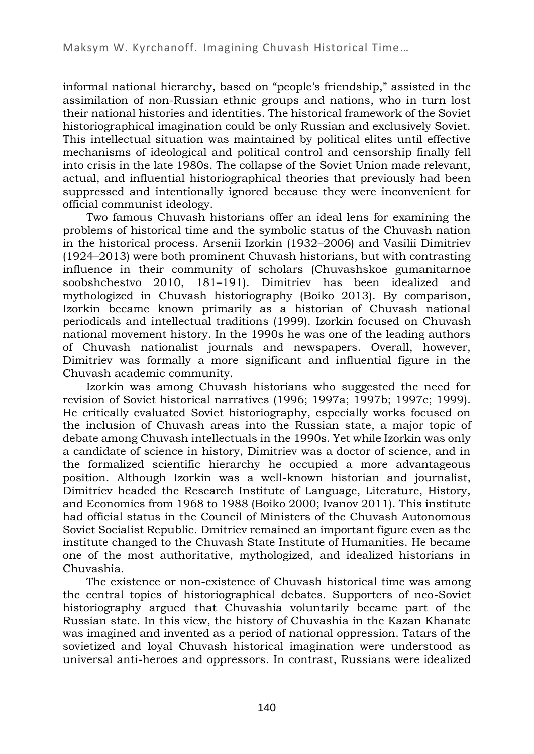informal national hierarchy, based on "people's friendship," assisted in the assimilation of non-Russian ethnic groups and nations, who in turn lost their national histories and identities. The historical framework of the Soviet historiographical imagination could be only Russian and exclusively Soviet. This intellectual situation was maintained by political elites until effective mechanisms of ideological and political control and censorship finally fell into crisis in the late 1980s. The collapse of the Soviet Union made relevant, actual, and influential historiographical theories that previously had been suppressed and intentionally ignored because they were inconvenient for official communist ideology.

Two famous Chuvash historians offer an ideal lens for examining the problems of historical time and the symbolic status of the Chuvash nation in the historical process. Arsenii Izorkin (1932–2006) and Vasilii Dimitriev (1924–2013) were both prominent Chuvash historians, but with contrasting influence in their community of scholars (Chuvashskoe gumanitarnoe soobshchestvo 2010, 181–191). Dimitriev has been idealized and mythologized in Chuvash historiography (Boiko 2013). By comparison, Izorkin became known primarily as a historian of Chuvash national periodicals and intellectual traditions (1999). Izorkin focused on Chuvash national movement history. In the 1990s he was one of the leading authors of Chuvash nationalist journals and newspapers. Overall, however, Dimitriev was formally a more significant and influential figure in the Chuvash academic community.

Izorkin was among Chuvash historians who suggested the need for revision of Soviet historical narratives (1996; 1997a; 1997b; 1997c; 1999). He critically evaluated Soviet historiography, especially works focused on the inclusion of Chuvash areas into the Russian state, a major topic of debate among Chuvash intellectuals in the 1990s. Yet while Izorkin was only a candidate of science in history, Dimitriev was a doctor of science, and in the formalized scientific hierarchy he occupied a more advantageous position. Although Izorkin was a well-known historian and journalist, Dimitriev headed the Research Institute of Language, Literature, History, and Economics from 1968 to 1988 (Boiko 2000; Ivanov 2011). This institute had official status in the Council of Ministers of the Chuvash Autonomous Soviet Socialist Republic. Dmitriev remained an important figure even as the institute changed to the Chuvash State Institute of Humanities. He became one of the most authoritative, mythologized, and idealized historians in Chuvashia.

The existence or non-existence of Chuvash historical time was among the central topics of historiographical debates. Supporters of neo-Soviet historiography argued that Chuvashia voluntarily became part of the Russian state. In this view, the history of Chuvashia in the Kazan Khanate was imagined and invented as a period of national oppression. Tatars of the sovietized and loyal Chuvash historical imagination were understood as universal anti-heroes and oppressors. In contrast, Russians were idealized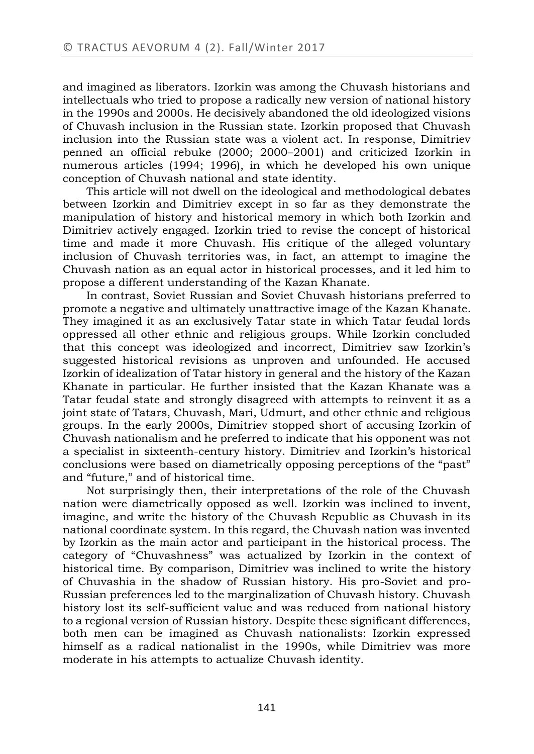and imagined as liberators. Izorkin was among the Chuvash historians and intellectuals who tried to propose a radically new version of national history in the 1990s and 2000s. He decisively abandoned the old ideologized visions of Chuvash inclusion in the Russian state. Izorkin proposed that Chuvash inclusion into the Russian state was a violent act. In response, Dimitriev penned an official rebuke (2000; 2000–2001) and criticized Izorkin in numerous articles (1994; 1996), in which he developed his own unique conception of Chuvash national and state identity.

This article will not dwell on the ideological and methodological debates between Izorkin and Dimitriev except in so far as they demonstrate the manipulation of history and historical memory in which both Izorkin and Dimitriev actively engaged. Izorkin tried to revise the concept of historical time and made it more Chuvash. His critique of the alleged voluntary inclusion of Chuvash territories was, in fact, an attempt to imagine the Chuvash nation as an equal actor in historical processes, and it led him to propose a different understanding of the Kazan Khanate.

In contrast, Soviet Russian and Soviet Chuvash historians preferred to promote a negative and ultimately unattractive image of the Kazan Khanate. They imagined it as an exclusively Tatar state in which Tatar feudal lords oppressed all other ethnic and religious groups. While Izorkin concluded that this concept was ideologized and incorrect, Dimitriev saw Izorkin's suggested historical revisions as unproven and unfounded. He accused Izorkin of idealization of Tatar history in general and the history of the Kazan Khanate in particular. He further insisted that the Kazan Khanate was a Tatar feudal state and strongly disagreed with attempts to reinvent it as a joint state of Tatars, Chuvash, Mari, Udmurt, and other ethnic and religious groups. In the early 2000s, Dimitriev stopped short of accusing Izorkin of Chuvash nationalism and he preferred to indicate that his opponent was not a specialist in sixteenth-century history. Dimitriev and Izorkin's historical conclusions were based on diametrically opposing perceptions of the "past" and "future," and of historical time.

Not surprisingly then, their interpretations of the role of the Chuvash nation were diametrically opposed as well. Izorkin was inclined to invent, imagine, and write the history of the Chuvash Republic as Chuvash in its national coordinate system. In this regard, the Chuvash nation was invented by Izorkin as the main actor and participant in the historical process. The category of "Chuvashness" was actualized by Izorkin in the context of historical time. By comparison, Dimitriev was inclined to write the history of Chuvashia in the shadow of Russian history. His pro-Soviet and pro-Russian preferences led to the marginalization of Chuvash history. Chuvash history lost its self-sufficient value and was reduced from national history to a regional version of Russian history. Despite these significant differences, both men can be imagined as Chuvash nationalists: Izorkin expressed himself as a radical nationalist in the 1990s, while Dimitriev was more moderate in his attempts to actualize Chuvash identity.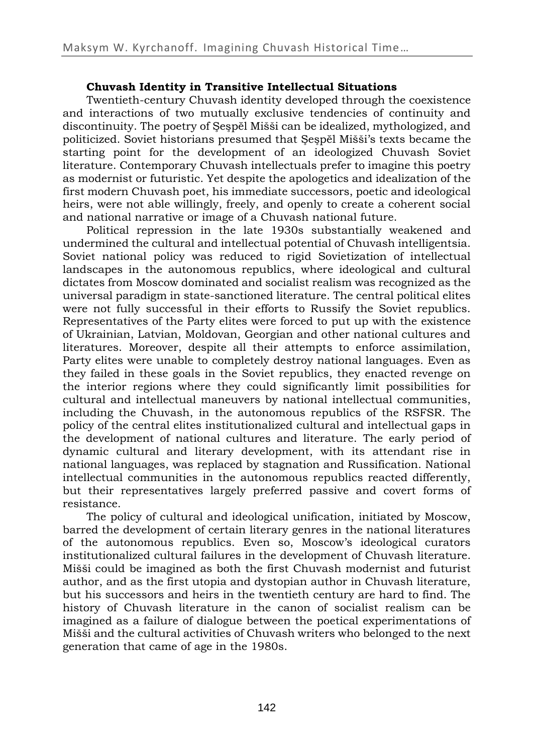# **Chuvash Identity in Transitive Intellectual Situations**

Twentieth-century Chuvash identity developed through the coexistence and interactions of two mutually exclusive tendencies of continuity and discontinuity. The poetry of Şeşpĕl Mišši can be idealized, mythologized, and politicized. Soviet historians presumed that Şeşpĕl Mišši's texts became the starting point for the development of an ideologized Chuvash Soviet literature. Contemporary Chuvash intellectuals prefer to imagine this poetry as modernist or futuristic. Yet despite the apologetics and idealization of the first modern Chuvash poet, his immediate successors, poetic and ideological heirs, were not able willingly, freely, and openly to create a coherent social and national narrative or image of a Chuvash national future.

Political repression in the late 1930s substantially weakened and undermined the cultural and intellectual potential of Chuvash intelligentsia. Soviet national policy was reduced to rigid Sovietization of intellectual landscapes in the autonomous republics, where ideological and cultural dictates from Moscow dominated and socialist realism was recognized as the universal paradigm in state-sanctioned literature. The central political elites were not fully successful in their efforts to Russify the Soviet republics. Representatives of the Party elites were forced to put up with the existence of Ukrainian, Latvian, Moldovan, Georgian and other national cultures and literatures. Moreover, despite all their attempts to enforce assimilation, Party elites were unable to completely destroy national languages. Even as they failed in these goals in the Soviet republics, they enacted revenge on the interior regions where they could significantly limit possibilities for cultural and intellectual maneuvers by national intellectual communities, including the Chuvash, in the autonomous republics of the RSFSR. The policy of the central elites institutionalized cultural and intellectual gaps in the development of national cultures and literature. The early period of dynamic cultural and literary development, with its attendant rise in national languages, was replaced by stagnation and Russification. National intellectual communities in the autonomous republics reacted differently, but their representatives largely preferred passive and covert forms of resistance.

The policy of cultural and ideological unification, initiated by Moscow, barred the development of certain literary genres in the national literatures of the autonomous republics. Even so, Moscow's ideological curators institutionalized cultural failures in the development of Chuvash literature. Mišši could be imagined as both the first Chuvash modernist and futurist author, and as the first utopia and dystopian author in Chuvash literature, but his successors and heirs in the twentieth century are hard to find. The history of Chuvash literature in the canon of socialist realism can be imagined as a failure of dialogue between the poetical experimentations of Mišši and the cultural activities of Chuvash writers who belonged to the next generation that came of age in the 1980s.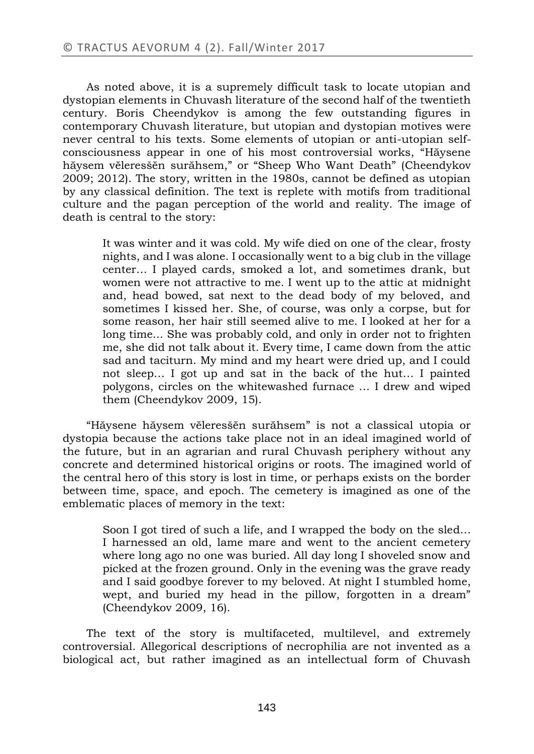As noted above, it is a supremely difficult task to locate utopian and dystopian elements in Chuvash literature of the second half of the twentieth century. Boris Cheendykov is among the few outstanding figures in contemporary Chuvash literature, but utopian and dystopian motives were never central to his texts. Some elements of utopian or anti-utopian selfconsciousness appear in one of his most controversial works, "Hăysene hăysem vĕleresšĕn surăhsem," or "Sheep Who Want Death" (Cheendykov 2009; 2012). The story, written in the 1980s, cannot be defined as utopian by any classical definition. The text is replete with motifs from traditional culture and the pagan perception of the world and reality. The image of death is central to the story:

It was winter and it was cold. My wife died on one of the clear, frosty nights, and I was alone. I occasionally went to a big club in the village center… I played cards, smoked a lot, and sometimes drank, but women were not attractive to me. I went up to the attic at midnight and, head bowed, sat next to the dead body of my beloved, and sometimes I kissed her. She, of course, was only a corpse, but for some reason, her hair still seemed alive to me. I looked at her for a long time... She was probably cold, and only in order not to frighten me, she did not talk about it. Every time, I came down from the attic sad and taciturn. My mind and my heart were dried up, and I could not sleep… I got up and sat in the back of the hut… I painted polygons, circles on the whitewashed furnace … I drew and wiped them (Cheendykov 2009, 15).

"Hăysene hăysem vĕleresšĕn surăhsem" is not a classical utopia or dystopia because the actions take place not in an ideal imagined world of the future, but in an agrarian and rural Chuvash periphery without any concrete and determined historical origins or roots. The imagined world of the central hero of this story is lost in time, or perhaps exists on the border between time, space, and epoch. The cemetery is imagined as one of the emblematic places of memory in the text:

Soon I got tired of such a life, and I wrapped the body on the sled... I harnessed an old, lame mare and went to the ancient cemetery where long ago no one was buried. All day long I shoveled snow and picked at the frozen ground. Only in the evening was the grave ready and I said goodbye forever to my beloved. At night I stumbled home, wept, and buried my head in the pillow, forgotten in a dream" (Cheendykov 2009, 16).

The text of the story is multifaceted, multilevel, and extremely controversial. Allegorical descriptions of necrophilia are not invented as а biological act, but rather imagined as an intellectual form of Chuvash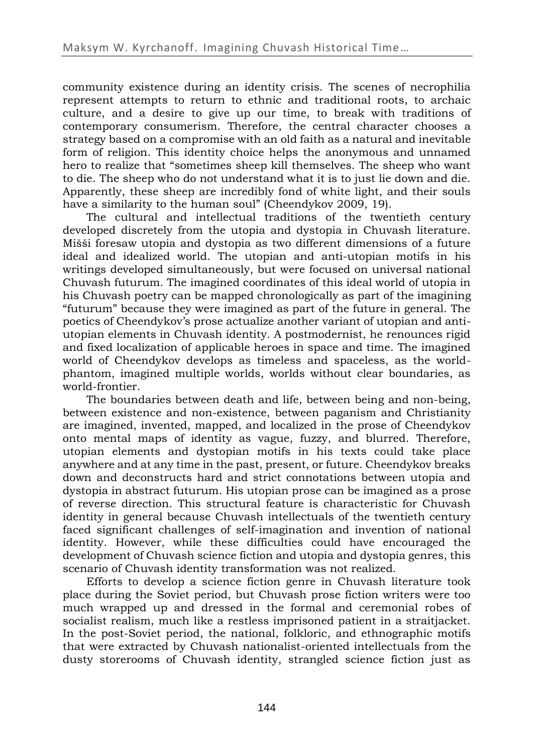community existence during an identity crisis. The scenes of necrophilia represent attempts to return to ethnic and traditional roots, to archaic culture, and a desire to give up our time, to break with traditions of contemporary consumerism. Therefore, the central character chooses a strategy based on a compromise with an old faith as a natural and inevitable form of religion. This identity choice helps the anonymous and unnamed hero to realize that "sometimes sheep kill themselves. The sheep who want to die. The sheep who do not understand what it is to just lie down and die. Apparently, these sheep are incredibly fond of white light, and their souls have a similarity to the human soul" (Cheendykov 2009, 19).

The cultural and intellectual traditions of the twentieth century developed discretely from the utopia and dystopia in Chuvash literature. Mišši foresaw utopia and dystopia as two different dimensions of a future ideal and idealized world. The utopian and anti-utopian motifs in his writings developed simultaneously, but were focused on universal national Chuvash futurum. The imagined coordinates of this ideal world of utopia in his Chuvash poetry can be mapped chronologically as part of the imagining "futurum" because they were imagined as part of the future in general. The poetics of Cheendykov's prose actualize another variant of utopian and antiutopian elements in Chuvash identity. A postmodernist, he renounces rigid and fixed localization of applicable heroes in space and time. The imagined world of Cheendykov develops as timeless and spaceless, as the worldphantom, imagined multiple worlds, worlds without clear boundaries, as world-frontier.

The boundaries between death and life, between being and non-being, between existence and non-existence, between paganism and Christianity are imagined, invented, mapped, and localized in the prose of Cheendykov onto mental maps of identity as vague, fuzzy, and blurred. Therefore, utopian elements and dystopian motifs in his texts could take place anywhere and at any time in the past, present, or future. Cheendykov breaks down and deconstructs hard and strict connotations between utopia and dystopia in abstract futurum. His utopian prose can be imagined as a prose of reverse direction. This structural feature is characteristic for Chuvash identity in general because Chuvash intellectuals of the twentieth century faced significant challenges of self-imagination and invention of national identity. However, while these difficulties could have encouraged the development of Chuvash science fiction and utopia and dystopia genres, this scenario of Chuvash identity transformation was not realized.

Efforts to develop a science fiction genre in Chuvash literature took place during the Soviet period, but Chuvash prose fiction writers were too much wrapped up and dressed in the formal and ceremonial robes of socialist realism, much like a restless imprisoned patient in a straitjacket. In the post-Soviet period, the national, folkloric, and ethnographic motifs that were extracted by Chuvash nationalist-oriented intellectuals from the dusty storerooms of Chuvash identity, strangled science fiction just as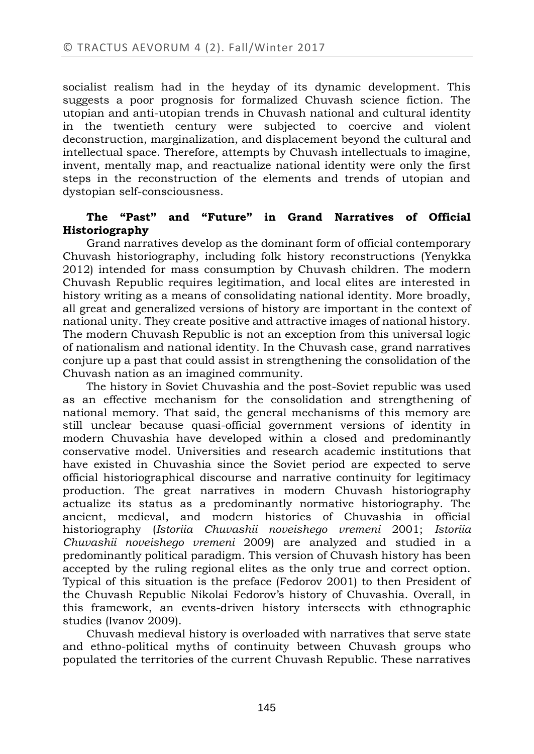socialist realism had in the heyday of its dynamic development. This suggests a poor prognosis for formalized Chuvash science fiction. The utopian and anti-utopian trends in Chuvash national and cultural identity in the twentieth century were subjected to coercive and violent deconstruction, marginalization, and displacement beyond the cultural and intellectual space. Therefore, attempts by Chuvash intellectuals to imagine, invent, mentally map, and reactualize national identity were only the first steps in the reconstruction of the elements and trends of utopian and dystopian self-consciousness.

# **The "Past" and "Future" in Grand Narratives of Official Historiography**

Grand narratives develop as the dominant form of official contemporary Chuvash historiography, including folk history reconstructions (Yenykka 2012) intended for mass consumption by Chuvash children. The modern Chuvash Republic requires legitimation, and local elites are interested in history writing as a means of consolidating national identity. More broadly, all great and generalized versions of history are important in the context of national unity. They create positive and attractive images of national history. The modern Chuvash Republic is not an exception from this universal logic of nationalism and national identity. In the Chuvash case, grand narratives conjure up a past that could assist in strengthening the consolidation of the Chuvash nation as an imagined community.

The history in Soviet Chuvashia and the post-Soviet republic was used as an effective mechanism for the consolidation and strengthening of national memory. That said, the general mechanisms of this memory are still unclear because quasi-official government versions of identity in modern Chuvashia have developed within a closed and predominantly conservative model. Universities and research academic institutions that have existed in Chuvashia since the Soviet period are expected to serve official historiographical discourse and narrative continuity for legitimacy production. The great narratives in modern Chuvash historiography actualize its status as a predominantly normative historiography. The ancient, medieval, and modern histories of Chuvashia in official historiography (*Istoriia Chuvashii noveishego vremeni* 2001; *Istoriia Chuvashii noveishego vremeni* 2009) are analyzed and studied in a predominantly political paradigm. This version of Chuvash history has been accepted by the ruling regional elites as the only true and correct option. Typical of this situation is the preface (Fedorov 2001) to then President of the Chuvash Republic Nikolai Fedorov's history of Chuvashia. Overall, in this framework, an events-driven history intersects with ethnographic studies (Ivanov 2009).

Chuvash medieval history is overloaded with narratives that serve state and ethno-political myths of continuity between Chuvash groups who populated the territories of the current Chuvash Republic. These narratives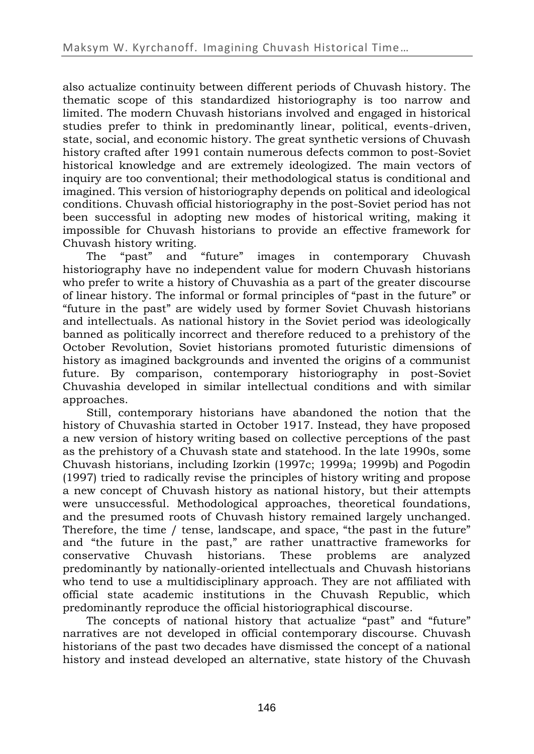also actualize continuity between different periods of Chuvash history. The thematic scope of this standardized historiography is too narrow and limited. The modern Chuvash historians involved and engaged in historical studies prefer to think in predominantly linear, political, events-driven, state, social, and economic history. The great synthetic versions of Chuvash history crafted after 1991 contain numerous defects common to post-Soviet historical knowledge and are extremely ideologized. The main vectors of inquiry are too conventional; their methodological status is conditional and imagined. This version of historiography depends on political and ideological conditions. Chuvash official historiography in the post-Soviet period has not been successful in adopting new modes of historical writing, making it impossible for Chuvash historians to provide an effective framework for Chuvash history writing.

The "past" and "future" images in contemporary Chuvash historiography have no independent value for modern Chuvash historians who prefer to write a history of Chuvashia as a part of the greater discourse of linear history. The informal or formal principles of "past in the future" or "future in the past" are widely used by former Soviet Chuvash historians and intellectuals. As national history in the Soviet period was ideologically banned as politically incorrect and therefore reduced to a prehistory of the October Revolution, Soviet historians promoted futuristic dimensions of history as imagined backgrounds and invented the origins of a communist future. By comparison, contemporary historiography in post-Soviet Chuvashia developed in similar intellectual conditions and with similar approaches.

Still, contemporary historians have abandoned the notion that the history of Chuvashia started in October 1917. Instead, they have proposed a new version of history writing based on collective perceptions of the past as the prehistory of a Chuvash state and statehood. In the late 1990s, some Chuvash historians, including Izorkin (1997c; 1999a; 1999b) and Pogodin (1997) tried to radically revise the principles of history writing and propose a new concept of Chuvash history as national history, but their attempts were unsuccessful. Methodological approaches, theoretical foundations, and the presumed roots of Chuvash history remained largely unchanged. Therefore, the time / tense, landscape, and space, "the past in the future" and "the future in the past," are rather unattractive frameworks for conservative Chuvash historians. These problems are analyzed predominantly by nationally-oriented intellectuals and Chuvash historians who tend to use a multidisciplinary approach. They are not affiliated with official state academic institutions in the Chuvash Republic, which predominantly reproduce the official historiographical discourse.

The concepts of national history that actualize "past" and "future" narratives are not developed in official contemporary discourse. Chuvash historians of the past two decades have dismissed the concept of a national history and instead developed an alternative, state history of the Chuvash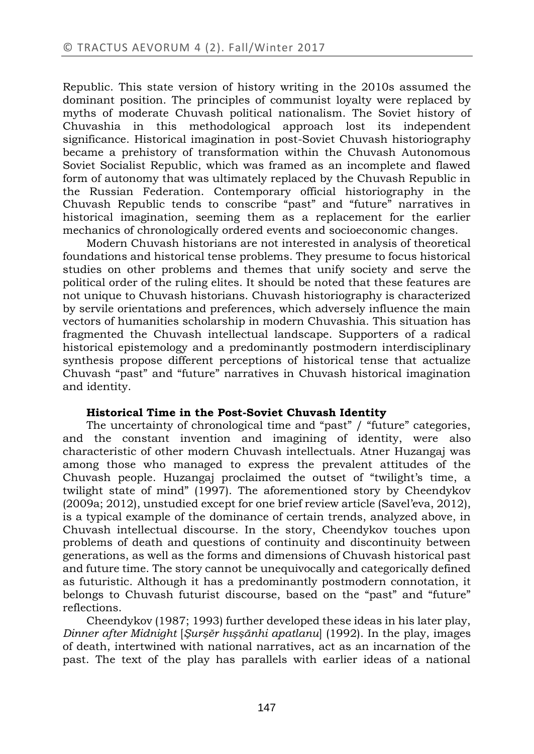Republic. This state version of history writing in the 2010s assumed the dominant position. The principles of communist loyalty were replaced by myths of moderate Chuvash political nationalism. The Soviet history of Chuvashia in this methodological approach lost its independent significance. Historical imagination in post-Soviet Chuvash historiography became a prehistory of transformation within the Chuvash Autonomous Soviet Socialist Republic, which was framed as an incomplete and flawed form of autonomy that was ultimately replaced by the Chuvash Republic in the Russian Federation. Contemporary official historiography in the Chuvash Republic tends to conscribe "past" and "future" narratives in historical imagination, seeming them as a replacement for the earlier mechanics of chronologically ordered events and socioeconomic changes.

Modern Chuvash historians are not interested in analysis of theoretical foundations and historical tense problems. They presume to focus historical studies on other problems and themes that unify society and serve the political order of the ruling elites. It should be noted that these features are not unique to Chuvash historians. Chuvash historiography is characterized by servile orientations and preferences, which adversely influence the main vectors of humanities scholarship in modern Chuvashia. This situation has fragmented the Chuvash intellectual landscape. Supporters of a radical historical epistemology and a predominantly postmodern interdisciplinary synthesis propose different perceptions of historical tense that actualize Chuvash "past" and "future" narratives in Chuvash historical imagination and identity.

## **Historical Time in the Post-Soviet Chuvash Identity**

The uncertainty of chronological time and "past" / "future" categories, and the constant invention and imagining of identity, were also characteristic of other modern Chuvash intellectuals. Atner Huzangaj was among those who managed to express the prevalent attitudes of the Chuvash people. Huzangaj proclaimed the outset of "twilight's time, a twilight state of mind" (1997). The aforementioned story by Cheendykov (2009a; 2012), unstudied except for one brief review article (Savel'eva, 2012), is a typical example of the dominance of certain trends, analyzed above, in Chuvash intellectual discourse. In the story, Cheendykov touches upon problems of death and questions of continuity and discontinuity between generations, as well as the forms and dimensions of Chuvash historical past and future time. The story cannot be unequivocally and categorically defined as futuristic. Although it has a predominantly postmodern connotation, it belongs to Chuvash futurist discourse, based on the "past" and "future" reflections.

Cheendykov (1987; 1993) further developed these ideas in his later play, *Dinner after Midnight* [*Şurşĕr hışşănhi apatlanu*] (1992). In the play, images of death, intertwined with national narratives, act as an incarnation of the past. The text of the play has parallels with earlier ideas of a national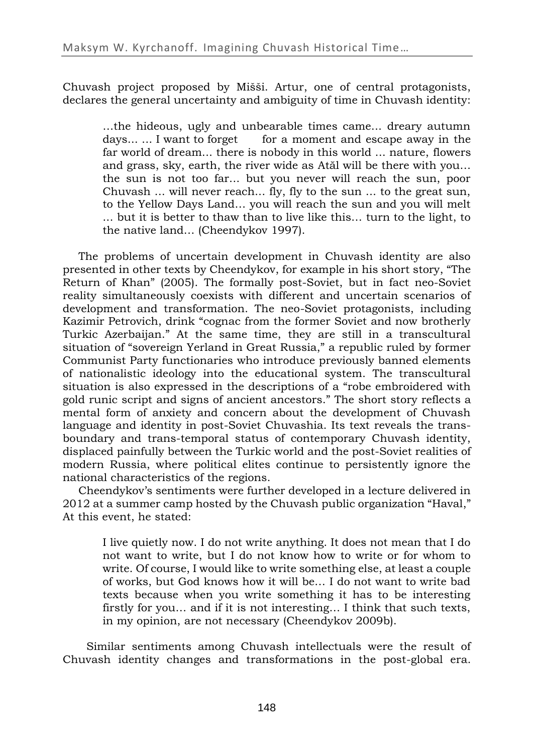Chuvash project proposed by Mišši. Artur, one of central protagonists, declares the general uncertainty and ambiguity of time in Chuvash identity:

…the hideous, ugly and unbearable times came... dreary autumn days... ... I want to forget for a moment and escape away in the far world of dream... there is nobody in this world ... nature, flowers and grass, sky, earth, the river wide as Atăl will be there with you… the sun is not too far... but you never will reach the sun, poor Chuvash ... will never reach... fly, fly to the sun ... to the great sun, to the Yellow Days Land… you will reach the sun and you will melt ... but it is better to thaw than to live like this… turn to the light, to the native land… (Cheendykov 1997).

The problems of uncertain development in Chuvash identity are also presented in other texts by Cheendykov, for example in his short story, "The Return of Khan" (2005). The formally post-Soviet, but in fact neo-Soviet reality simultaneously coexists with different and uncertain scenarios of development and transformation. The neo-Soviet protagonists, including Kazimir Petrovich, drink "cognac from the former Soviet and now brotherly Turkic Azerbaijan." At the same time, they are still in a transcultural situation of "sovereign Yerland in Great Russia," a republic ruled by former Communist Party functionaries who introduce previously banned elements of nationalistic ideology into the educational system. The transcultural situation is also expressed in the descriptions of a "robe embroidered with gold runic script and signs of ancient ancestors." The short story reflects a mental form of anxiety and concern about the development of Chuvash language and identity in post-Soviet Chuvashia. Its text reveals the transboundary and trans-temporal status of contemporary Chuvash identity, displaced painfully between the Turkic world and the post-Soviet realities of modern Russia, where political elites continue to persistently ignore the national characteristics of the regions.

Cheendykov's sentiments were further developed in a lecture delivered in 2012 at a summer camp hosted by the Chuvash public organization "Haval," At this event, he stated:

I live quietly now. I do not write anything. It does not mean that I do not want to write, but I do not know how to write or for whom to write. Of course, I would like to write something else, at least a couple of works, but God knows how it will be… I do not want to write bad texts because when you write something it has to be interesting firstly for you… and if it is not interesting… I think that such texts, in my opinion, are not necessary (Cheendykov 2009b).

Similar sentiments among Chuvash intellectuals were the result of Chuvash identity changes and transformations in the post-global era.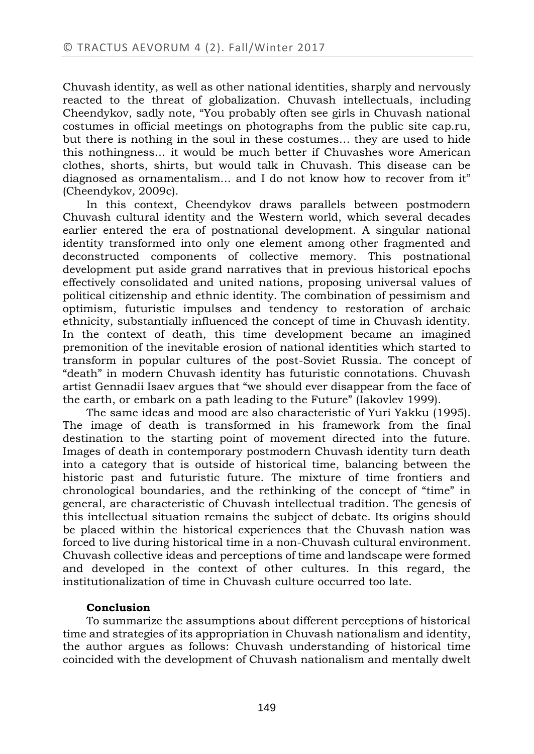Chuvash identity, as well as other national identities, sharply and nervously reacted to the threat of globalization. Chuvash intellectuals, including Cheendykov, sadly note, "You probably often see girls in Chuvash national costumes in official meetings on photographs from the public site cap.ru, but there is nothing in the soul in these costumes… they are used to hide this nothingness… it would be much better if Chuvashes wore American clothes, shorts, shirts, but would talk in Chuvash. This disease can be diagnosed as ornamentalism... and I do not know how to recover from it" (Cheendykov*,* 2009c).

In this context, Cheendykov draws parallels between postmodern Chuvash cultural identity and the Western world, which several decades earlier entered the era of postnational development. A singular national identity transformed into only one element among other fragmented and deconstructed components of collective memory. This postnational development put aside grand narratives that in previous historical epochs effectively consolidated and united nations, proposing universal values of political citizenship and ethnic identity. The combination of pessimism and optimism, futuristic impulses and tendency to restoration of archaic ethnicity, substantially influenced the concept of time in Chuvash identity. In the context of death, this time development became an imagined premonition of the inevitable erosion of national identities which started to transform in popular cultures of the post-Soviet Russia. The concept of "death" in modern Chuvash identity has futuristic connotations. Chuvash artist Gennadii Isaev argues that "we should ever disappear from the face of the earth, or embark on a path leading to the Future" (Iakovlev 1999).

The same ideas and mood are also characteristic of Yuri Yakku (1995). The image of death is transformed in his framework from the final destination to the starting point of movement directed into the future. Images of death in contemporary postmodern Chuvash identity turn death into a category that is outside of historical time, balancing between the historic past and futuristic future. The mixture of time frontiers and chronological boundaries, and the rethinking of the concept of "time" in general, are characteristic of Chuvash intellectual tradition. The genesis of this intellectual situation remains the subject of debate. Its origins should be placed within the historical experiences that the Chuvash nation was forced to live during historical time in a non-Chuvash cultural environment. Chuvash collective ideas and perceptions of time and landscape were formed and developed in the context of other cultures. In this regard, the institutionalization of time in Chuvash culture occurred too late.

## **Conclusion**

To summarize the assumptions about different perceptions of historical time and strategies of its appropriation in Chuvash nationalism and identity, the author argues as follows: Chuvash understanding of historical time coincided with the development of Chuvash nationalism and mentally dwelt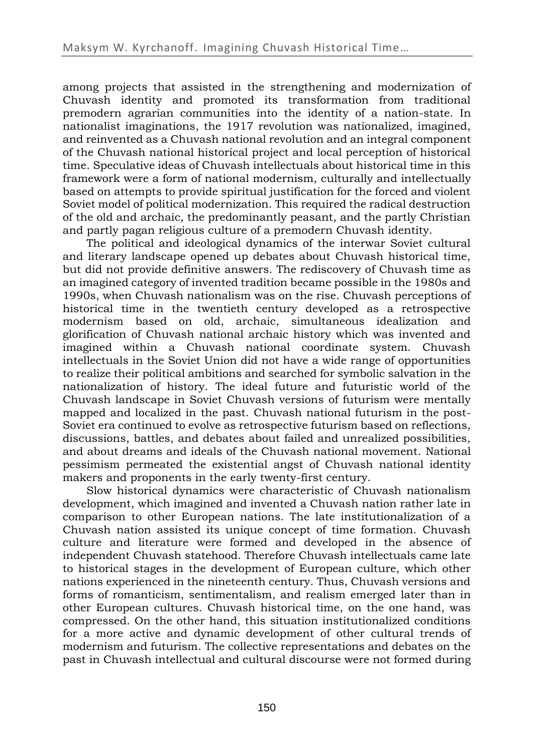among projects that assisted in the strengthening and modernization of Chuvash identity and promoted its transformation from traditional premodern agrarian communities into the identity of a nation-state. In nationalist imaginations, the 1917 revolution was nationalized, imagined, and reinvented as a Chuvash national revolution and an integral component of the Chuvash national historical project and local perception of historical time. Speculative ideas of Chuvash intellectuals about historical time in this framework were a form of national modernism, culturally and intellectually based on attempts to provide spiritual justification for the forced and violent Soviet model of political modernization. This required the radical destruction of the old and archaic, the predominantly peasant, and the partly Christian and partly pagan religious culture of a premodern Chuvash identity.

The political and ideological dynamics of the interwar Soviet cultural and literary landscape opened up debates about Chuvash historical time, but did not provide definitive answers. The rediscovery of Chuvash time as an imagined category of invented tradition became possible in the 1980s and 1990s, when Chuvash nationalism was on the rise. Chuvash perceptions of historical time in the twentieth century developed as a retrospective modernism based on old, archaic, simultaneous idealization and glorification of Chuvash national archaic history which was invented and imagined within a Chuvash national coordinate system. Chuvash intellectuals in the Soviet Union did not have a wide range of opportunities to realize their political ambitions and searched for symbolic salvation in the nationalization of history. The ideal future and futuristic world of the Chuvash landscape in Soviet Chuvash versions of futurism were mentally mapped and localized in the past. Chuvash national futurism in the post-Soviet era continued to evolve as retrospective futurism based on reflections, discussions, battles, and debates about failed and unrealized possibilities, and about dreams and ideals of the Chuvash national movement. National pessimism permeated the existential angst of Chuvash national identity makers and proponents in the early twenty-first century.

Slow historical dynamics were characteristic of Chuvash nationalism development, which imagined and invented a Chuvash nation rather late in comparison to other European nations. The late institutionalization of a Chuvash nation assisted its unique concept of time formation. Chuvash culture and literature were formed and developed in the absence of independent Chuvash statehood. Therefore Chuvash intellectuals came late to historical stages in the development of European culture, which other nations experienced in the nineteenth century. Thus, Chuvash versions and forms of romanticism, sentimentalism, and realism emerged later than in other European cultures. Chuvash historical time, on the one hand, was compressed. On the other hand, this situation institutionalized conditions for a more active and dynamic development of other cultural trends of modernism and futurism. The collective representations and debates on the past in Chuvash intellectual and cultural discourse were not formed during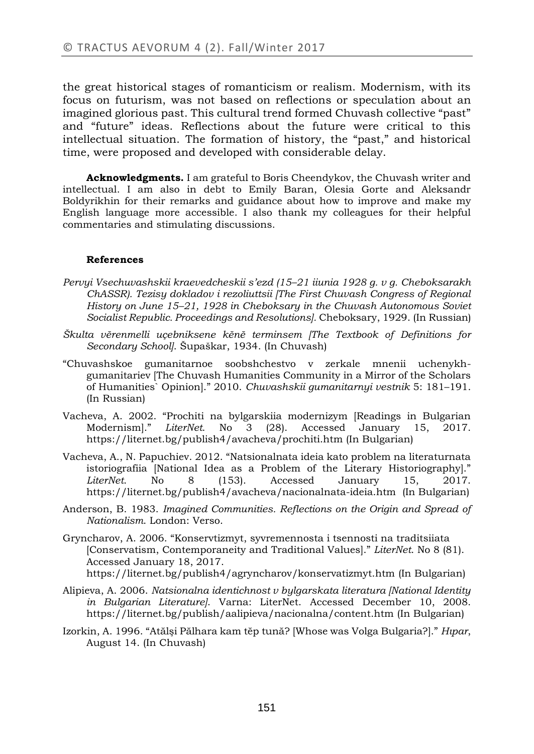the great historical stages of romanticism or realism. Modernism, with its focus on futurism, was not based on reflections or speculation about an imagined glorious past. This cultural trend formed Chuvash collective "past" and "future" ideas. Reflections about the future were critical to this intellectual situation. The formation of history, the "past," and historical time, were proposed and developed with considerable delay.

**Acknowledgments.** I am grateful to Boris Cheendykov, the Chuvash writer and intellectual. I am also in debt to Emily Baran, Olesia Gorte and Aleksandr Boldyrikhin for their remarks and guidance about how to improve and make my English language more accessible. I also thank my colleagues for their helpful commentaries and stimulating discussions.

#### **References**

- *Pervyi Vsechuvashskii kraevedcheskii s'ezd (15–21 iiunia 1928 g. v g. Cheboksarakh ChASSR). Tezisy dokladov i rezoliuttsii [The First Chuvash Congress of Regional History on June 15–21, 1928 in Cheboksary in the Chuvash Autonomous Soviet Socialist Republic. Proceedings and Resolutions].* Cheboksary, 1929. (In Russian)
- *Škulta vĕrenmelli uçebniksene kĕnĕ terminsem [The Textbook of Definitions for Secondary School]*. Šupaškar, 1934. (In Chuvash)
- "Chuvashskoe gumanitarnoe soobshchestvo v zerkale mnenii uchenykhgumanitariev [The Chuvash Humanities Community in a Mirror of the Scholars of Humanities` Opinion]." 2010. *Chuvashskii gumanitarnyi vestnik* 5: 181–191. (In Russian)
- Vacheva, A. 2002. "Prochiti na bylgarskiia modernizym [Readings in Bulgarian Modernism]." *LiterNet*. No 3 (28). Accessed January 15, 2017. https://liternet.bg/publish4/avacheva/prochiti.htm (In Bulgarian)
- Vacheva, A., N. Papuchiev. 2012. "Natsionalnata ideia kato problem na literaturnata istoriografiia [National Idea as a Problem of the Literary Historiography]." *LiterNet*. No 8 (153). Accessed January 15, 2017. https://liternet.bg/publish4/avacheva/nacionalnata-ideia.htm (In Bulgarian)
- Anderson, B. 1983. *Imagined Communities. Reflections on the Origin and Spread of Nationalism*. London: Verso.
- Gryncharov, A. 2006. "Konservtizmyt, syvremennosta i tsennosti na traditsiiata [Conservatism, Contemporaneity and Traditional Values]." *LiterNet*. No 8 (81). Accessed January 18, 2017. https://liternet.bg/publish4/agryncharov/konservatizmyt.htm (In Bulgarian)
- Alipieva, A. 2006. *Natsionalna identichnost v bylgarskata literatura [National Identity in Bulgarian Literature]*. Varna: LiterNet. Accessed December 10, 2008. https://liternet.bg/publish/aalipieva/nacionalna/content.htm (In Bulgarian)
- Izorkin, A. 1996. "Atălşi Pălhara kam tĕp tună? [Whose was Volga Bulgaria?]." *Hıpar*, August 14. (In Chuvash)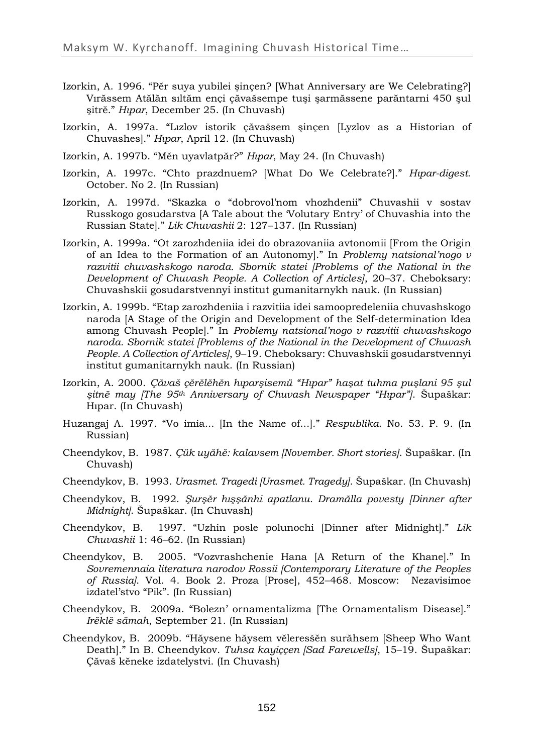- Izorkin, A. 1996. "Pĕr suya yubilei şinçen? [What Anniversary are We Celebrating?] Vırăssem Atălăn sıltăm ençi çăvašsempe tuşi şarmăssene parăntarni 450 şul şitrĕ." *Hıpar*, December 25. (In Chuvash)
- Izorkin, A. 1997a. "Lızlov istorik çăvašsem şinçen [Lyzlov as a Historian of Chuvashes]." *Hıpar*, April 12. (In Chuvash)
- Izorkin, A. 1997b. "Mĕn uyavlatpăr?" *Hıpar*, May 24. (In Chuvash)
- Izorkin, A. 1997c. "Chto prazdnuem? [What Do We Celebrate?]." *Hıpar-digest*. October. No 2. (In Russian)
- Izorkin, A. 1997d. "Skazka o "dobrovol'nom vhozhdenii" Chuvashii v sostav Russkogo gosudarstva [A Tale about the 'Volutary Entry' of Chuvashia into the Russian State]." *Lik Chuvashii* 2: 127–137. (In Russian)
- Izorkin, A. 1999a. "Ot zarozhdeniia idei do obrazovaniia avtonomii [From the Origin of an Idea to the Formation of an Autonomy]." In *Problemy natsional'nogo v razvitii chuvashskogo naroda. Sbornik statei [Problems of the National in the Development of Chuvash People. A Collection of Articles]*, 20–37. Cheboksary: Chuvashskii gosudarstvennyi institut gumanitarnykh nauk. (In Russian)
- Izorkin, A. 1999b. "Etap zarozhdeniia i razvitiia idei samoopredeleniia chuvashskogo naroda [A Stage of the Origin and Development of the Self-determination Idea among Chuvash People]." In *Problemy natsional'nogo v razvitii chuvashskogo naroda. Sbornik statei [Problems of the National in the Development of Chuvash People. A Collection of Articles]*, 9–19. Cheboksary: Chuvashskii gosudarstvennyi institut gumanitarnykh nauk. (In Russian)
- Izorkin, A. 2000. *Çăvaš çĕrĕlĕhĕn hıparşisemü "Hıpar" haşat tuhma puşlani 95 şul şitnĕ may [The 95th Anniversary of Chuvash Newspaper "Hıpar"]*. Šupaškar: Hıpar. (In Chuvash)
- Huzangaj A. 1997. "Vo imia... [In the Name of...]." *Respublika*. No. 53. P. 9. (In Russian)
- Cheendykov, B. 1987. *Çük uyăhě: kalavsem [November. Short stories]*. Šupaškar. (In Chuvash)
- Cheendykov, B. 1993. *Urasmet. Tragedi [Urasmet. Tragedy]*. Šupaškar. (In Chuvash)
- Cheendykov, B. 1992. *Şurşĕr hışşănhi apatlanu. Dramălla povesty [Dinner after Midnight]*. Šupaškar. (In Chuvash)
- Cheendykov, B. 1997. "Uzhin posle polunochi [Dinner after Midnight]." *Lik Chuvashii* 1: 46–62. (In Russian)
- Cheendykov, B. 2005. "Vozvrashchenie Hana [A Return of the Khane]." In *Sovremennaia literatura narodov Rossii [Contemporary Literature of the Peoples of Russia]*. Vol. 4. Book 2. Proza [Prose], 452–468. Moscow: Nezavisimoe izdatel'stvo "Pik". (In Russian)
- Cheendykov, B. 2009a. "Bolezn' ornamentalizma [The Ornamentalism Disease]." *Irĕklĕ sămah*, September 21. (In Russian)
- Cheendykov, B. 2009b. "Hăysene hăysem vĕleresšĕn surăhsem [Sheep Who Want Death]." In B. Cheendykov. *Tuhsa kayiççen [Sad Farewells]*, 15–19. Šupaškar: Çăvaš kĕneke izdatelystvi. (In Chuvash)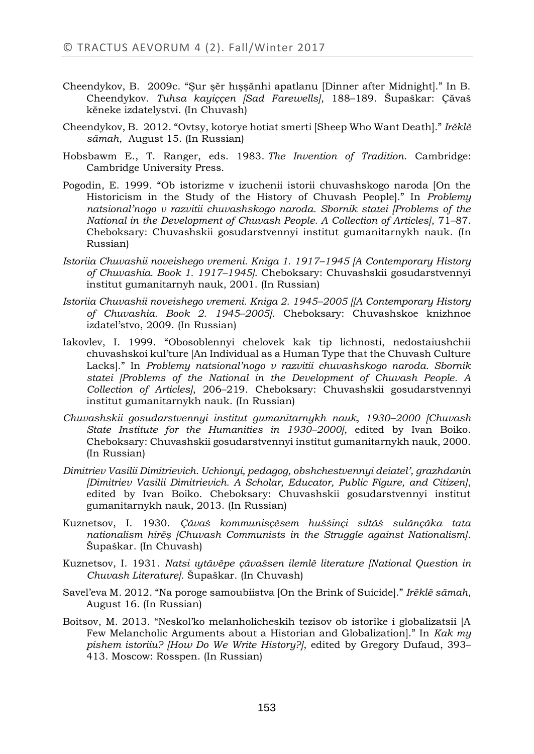- Cheendykov, B. 2009c. "Şur şĕr hışşănhi apatlanu [Dinner after Midnight]." In B. Cheendykov. *Tuhsa kayiççen [Sad Farewells]*, 188–189. Šupaškar: Çăvaš kĕneke izdatelystvi. (In Chuvash)
- Cheendykov, B. 2012. "Ovtsy, kotorye hotiat smerti [Sheep Who Want Death]." *Irĕklĕ sămah*, August 15. (In Russian)
- Hobsbawm E., T. Ranger, eds. 1983. *The Invention of Tradition*. Cambridge: Cambridge University Press.
- Pogodin, E. 1999. "Ob istorizme v izuchenii istorii chuvashskogo naroda [On the Historicism in the Study of the History of Chuvash People]." In *Problemy natsional'nogo v razvitii chuvashskogo naroda. Sbornik statei [Problems of the National in the Development of Chuvash People. A Collection of Articles]*, 71–87. Cheboksary: Chuvashskii gosudarstvennyi institut gumanitarnykh nauk. (In Russian)
- *Istoriia Chuvashii noveishego vremeni. Kniga 1. 1917–1945 [A Contemporary History of Chuvashia. Book 1. 1917–1945]*. Cheboksary: Chuvashskii gosudarstvennyi institut gumanitarnyh nauk, 2001. (In Russian)
- *Istoriia Chuvashii noveishego vremeni. Kniga 2. 1945–2005 [[A Contemporary History of Chuvashia. Book 2. 1945–2005]*. Cheboksary: Chuvashskoe knizhnoe izdatel'stvo, 2009. (In Russian)
- Iakovlev, I. 1999. "Obosoblennyi chelovek kak tip lichnosti, nedostaiushchii chuvashskoi kul'ture [An Individual as a Human Type that the Chuvash Culture Lacks]." In *Problemy natsional'nogo v razvitii chuvashskogo naroda. Sbornik statei [Problems of the National in the Development of Chuvash People. A Collection of Articles]*, 206–219. Cheboksary: Chuvashskii gosudarstvennyi institut gumanitarnykh nauk. (In Russian)
- *Chuvashskii gosudarstvennyi institut gumanitarnykh nauk, 1930–2000 [Chuvash State Institute for the Humanities in 1930–2000]*, edited by Ivan Boiko. Cheboksary: Chuvashskii gosudarstvennyi institut gumanitarnykh nauk, 2000. (In Russian)
- *Dimitriev Vasilii Dimitrievich. Uchionyi, pedagog, obshchestvennyi deiatel', grazhdanin [Dimitriev Vasilii Dimitrievich. A Scholar, Educator, Public Figure, and Citizen]*, edited by Ivan Boiko. Cheboksary: Chuvashskii gosudarstvennyi institut gumanitarnykh nauk, 2013. (In Russian)
- Kuznetsov, I. 1930. *Çăvaš kommunisçĕsem huššinçi sıltăš sulănçăka tata nationalism hirĕş [Chuvash Communists in the Struggle against Nationalism]*. Šupaškar. (In Chuvash)
- Kuznetsov, I. 1931. *Natsi ıytăvĕpe çăvašsen ilemlĕ literature [National Question in Chuvash Literature].* Šupaškar. (In Chuvash)
- Savel'eva M. 2012. "Na poroge samoubiistva [On the Brink of Suicide]." *Irĕklĕ sămah*, August 16. (In Russian)
- Boitsov, M. 2013. "Neskol'ko melanholicheskih tezisov ob istorike i globalizatsii [A Few Melancholic Arguments about a Historian and Globalization]." In *Kak my pishem istoriiu? [How Do We Write History?]*, edited by Gregory Dufaud, 393– 413. Moscow: Rosspen. (In Russian)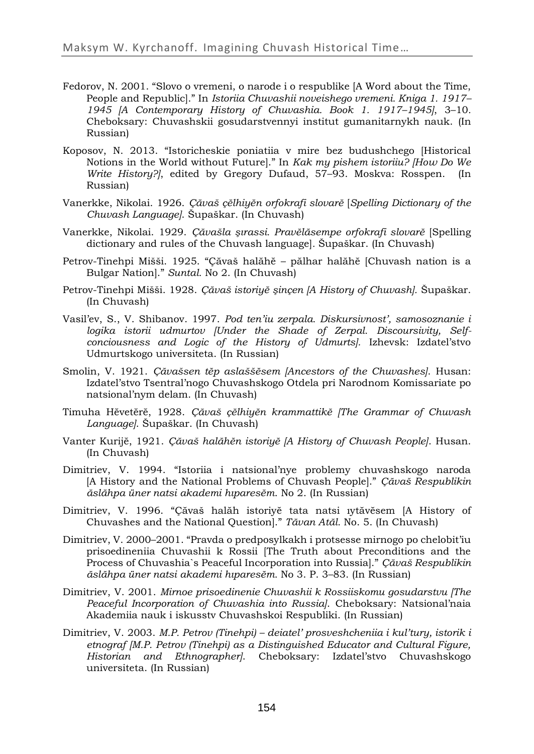- Fedorov, N. 2001. "Slovo o vremeni, o narode i o respublike [A Word about the Time, People and Republic]." In *Istoriia Chuvashii noveishego vremeni. Kniga 1. 1917– 1945 [A Contemporary History of Chuvashia. Book 1. 1917–1945]*, 3–10*.* Cheboksary: Chuvashskii gosudarstvennyi institut gumanitarnykh nauk. (In Russian)
- Koposov, N. 2013. "Istoricheskie poniatiia v mire bez budushchego [Historical Notions in the World without Future]." In *Kak my pishem istoriiu? [How Do We Write History?]*, edited by Gregory Dufaud, 57–93. Moskva: Rosspen. (In Russian)
- Vanerkke, Nikolai. 1926. *Çăvaš çĕlhiyĕn orfokrafi slovarĕ* [*Spelling Dictionary of the Chuvash Language]*. Šupaškar. (In Chuvash)
- Vanerkke, Nikolai. 1929. *Çăvašla şırassi. Pravĕlăsempe orfokrafi slovarĕ* [Spelling dictionary and rules of the Chuvash language]*.* Šupaškar. (In Chuvash)
- Petrov-Tinehpi Mišši. 1925. "Çăvaš halăhĕ pălhar halăhĕ [Chuvash nation is a Bulgar Nation]." *Suntal.* No 2. (In Chuvash)
- Petrov-Tinehpi Mišši. 1928. *Çăvaš istoriyĕ şinçen [A History of Chuvash].* Šupaškar. (In Chuvash)
- Vasil'ev, S., V. Shibanov. 1997. *Pod ten'iu zerpala. Diskursivnost', samosoznanie i logika istorii udmurtov [Under the Shade of Zerpal. Discoursivity, Selfconciousness and Logic of the History of Udmurts].* Izhevsk: Izdatel'stvo Udmurtskogo universiteta. (In Russian)
- Smolin, V. 1921. *Çăvašsen tĕp aslaššĕsem [Аncestors of the Chuvashes]*. Husan: Izdatel'stvo Tsentral'nogo Chuvashskogo Otdela pri Narodnom Komissariate po natsional'nym delam. (In Chuvash)
- Timuha Hĕvetĕrĕ, 1928. *Çăvaš çĕlhiyĕn krammattikĕ [The Grammar of Chuvash Language]*. Šupaškar. (In Chuvash)
- Vanter Kurijĕ, 1921. *Çăvaš halăhĕn istoriyĕ [A History of Chuvash People]*. Husan. (In Chuvash)
- Dimitriev, V. 1994. "Istoriia i natsional'nye problemy chuvashskogo naroda [A History and the National Problems of Chuvash People]." *Çăvaš Respublikin ăslăhpa üner natsi akademi hıparesĕm*. No 2. (In Russian)
- Dimitriev, V. 1996. "Çăvaš halăh istoriyĕ tata natsi ıytăvĕsem [A History of Chuvashes and the National Question]." *Tăvan Atăl.* No. 5. (In Chuvash)
- Dimitriev, V. 2000–2001. "Pravda o predposylkakh i protsesse mirnogo po chelobit'iu prisoedineniia Chuvashii k Rossii [The Truth about Preconditions and the Process of Chuvashia`s Peaceful Incorporation into Russia]." *Çăvaš Respublikin ăslăhpa üner natsi akademi hıparesĕm.* No 3. P. 3–83. (In Russian)
- Dimitriev, V. 2001. *Mirnoe prisoedinenie Chuvashii k Rossiiskomu gosudarstvu [The Peaceful Incorporation of Chuvashia into Russia]*. Cheboksary: Natsional'naia Akademiia nauk i iskusstv Chuvashskoi Respubliki. (In Russian)
- Dimitriev, V. 2003. *M.P. Petrov (Tinehpi) – deiatel' prosveshcheniia i kul'tury, istorik i etnograf [M.P. Petrov (Tinehpi) as a Distinguished Educator and Cultural Figure, Historian and Ethnographer]*. Cheboksary: Izdatel'stvo Chuvashskogo universiteta. (In Russian)